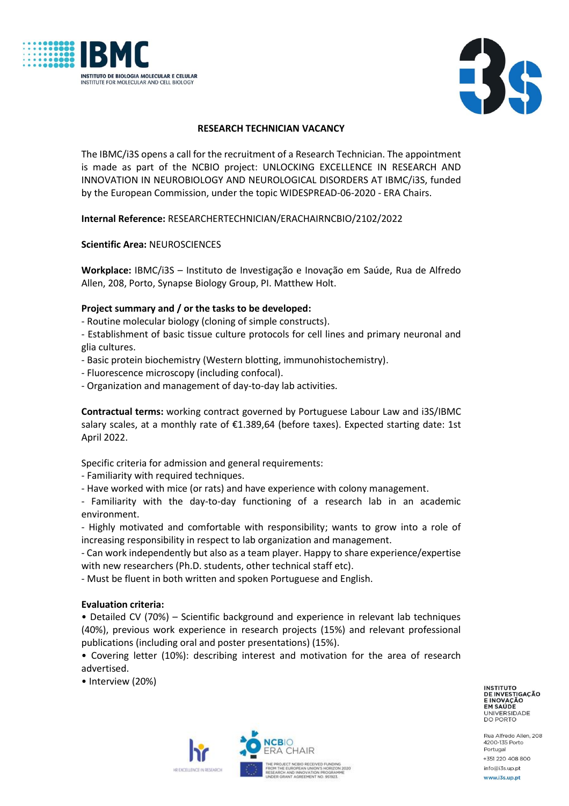



# **RESEARCH TECHNICIAN VACANCY**

The IBMC/i3S opens a call for the recruitment of a Research Technician. The appointment is made as part of the NCBIO project: UNLOCKING EXCELLENCE IN RESEARCH AND INNOVATION IN NEUROBIOLOGY AND NEUROLOGICAL DISORDERS AT IBMC/i3S, funded by the European Commission, under the topic WIDESPREAD-06-2020 - ERA Chairs.

**Internal Reference:** RESEARCHERTECHNICIAN/ERACHAIRNCBIO/2102/2022

**Scientific Area:** NEUROSCIENCES

**Workplace:** IBMC/i3S – Instituto de Investigação e Inovação em Saúde, Rua de Alfredo Allen, 208, Porto, Synapse Biology Group, PI. Matthew Holt.

# **Project summary and / or the tasks to be developed:**

- Routine molecular biology (cloning of simple constructs).

- Establishment of basic tissue culture protocols for cell lines and primary neuronal and glia cultures.

- Basic protein biochemistry (Western blotting, immunohistochemistry).
- Fluorescence microscopy (including confocal).
- Organization and management of day-to-day lab activities.

**Contractual terms:** working contract governed by Portuguese Labour Law and i3S/IBMC salary scales, at a monthly rate of €1.389,64 (before taxes). Expected starting date: 1st April 2022.

Specific criteria for admission and general requirements:

- Familiarity with required techniques.

- Have worked with mice (or rats) and have experience with colony management.

- Familiarity with the day-to-day functioning of a research lab in an academic environment.

- Highly motivated and comfortable with responsibility; wants to grow into a role of increasing responsibility in respect to lab organization and management.

- Can work independently but also as a team player. Happy to share experience/expertise with new researchers (Ph.D. students, other technical staff etc).

- Must be fluent in both written and spoken Portuguese and English.

### **Evaluation criteria:**

• Detailed CV (70%) – Scientific background and experience in relevant lab techniques (40%), previous work experience in research projects (15%) and relevant professional publications (including oral and poster presentations) (15%).

• Covering letter (10%): describing interest and motivation for the area of research advertised.

• Interview (20%)

**INSTITUTO** INSTITUTO<br>DE INVESTIGAÇÃO<br>E INOVAÇÃO<br>EM SAÚDE<br>LINIVERSIDADE UNIVERSIDADE DO PORTO

Rua Alfredo Allen, 208 4200-135 Porto Portugal +351 220 408 800 info@i3s.up.pt

HR EXCELLENCE IN DESEARCH

www.i3s.up.pt